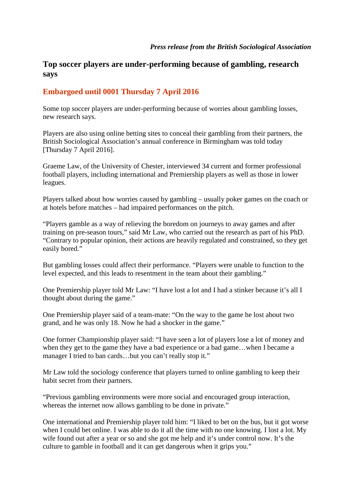## **Top soccer players are under-performing because of gambling, research says**

## **Embargoed until 0001 Thursday 7 April 2016**

Some top soccer players are under-performing because of worries about gambling losses, new research says.

Players are also using online betting sites to conceal their gambling from their partners, the British Sociological Association's annual conference in Birmingham was told today [Thursday 7 April 2016].

Graeme Law, of the University of Chester, interviewed 34 current and former professional football players, including international and Premiership players as well as those in lower leagues.

Players talked about how worries caused by gambling – usually poker games on the coach or at hotels before matches – had impaired performances on the pitch.

"Players gamble as a way of relieving the boredom on journeys to away games and after training on pre-season tours," said Mr Law, who carried out the research as part of his PhD. "Contrary to popular opinion, their actions are heavily regulated and constrained, so they get easily bored."

But gambling losses could affect their performance. "Players were unable to function to the level expected, and this leads to resentment in the team about their gambling."

One Premiership player told Mr Law: "I have lost a lot and I had a stinker because it's all I thought about during the game."

One Premiership player said of a team-mate: "On the way to the game he lost about two grand, and he was only 18. Now he had a shocker in the game."

One former Championship player said: "I have seen a lot of players lose a lot of money and when they get to the game they have a bad experience or a bad game…when I became a manager I tried to ban cards…but you can't really stop it."

Mr Law told the sociology conference that players turned to online gambling to keep their habit secret from their partners.

"Previous gambling environments were more social and encouraged group interaction, whereas the internet now allows gambling to be done in private."

One international and Premiership player told him: "I liked to bet on the bus, but it got worse when I could bet online. I was able to do it all the time with no one knowing. I lost a lot. My wife found out after a year or so and she got me help and it's under control now. It's the culture to gamble in football and it can get dangerous when it grips you."